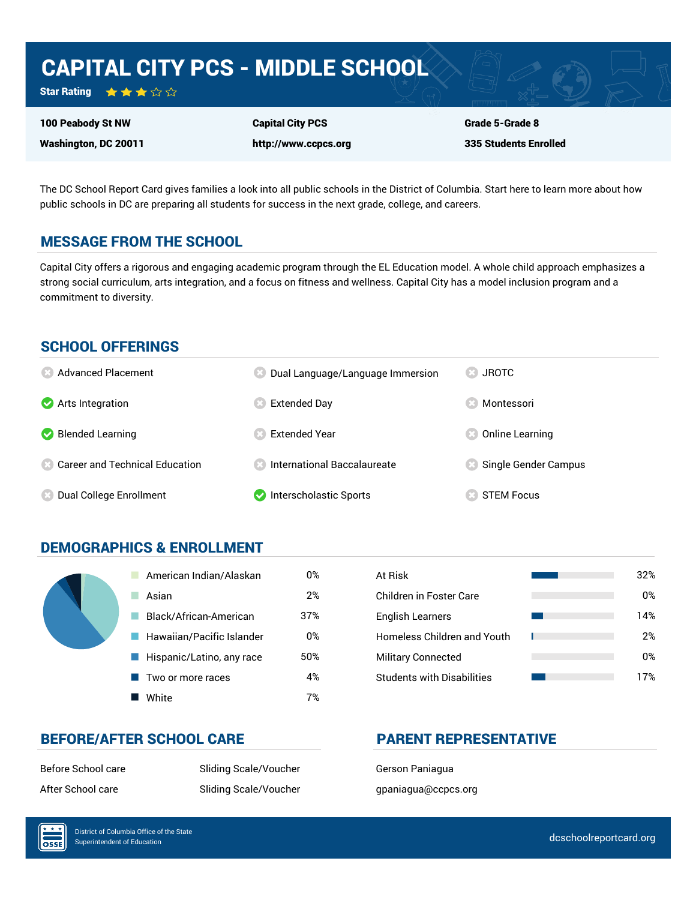# CAPITAL CITY PCS - MIDDLE SCHOOL

Star Rating ★★★☆☆

100 Peabody St NW

Washington, DC 20011

Capital City PCS http://www.ccpcs.org Grade 5-Grade 8 335 Students Enrolled

The DC School Report Card gives families a look into all public schools in the District of Columbia. Start here to learn more about how public schools in DC are preparing all students for success in the next grade, college, and careers.

### MESSAGE FROM THE SCHOOL

Capital City offers a rigorous and engaging academic program through the EL Education model. A whole child approach emphasizes a strong social curriculum, arts integration, and a focus on fitness and wellness. Capital City has a model inclusion program and a commitment to diversity.

### SCHOOL OFFERINGS

| <b>8</b> Advanced Placement             | Dual Language/Language Immersion     | <b>JROTC</b>                  |
|-----------------------------------------|--------------------------------------|-------------------------------|
| Arts Integration                        | <b>Extended Day</b>                  | Montessori                    |
| Blended Learning                        | <b>Extended Year</b>                 | Online Learning               |
| <b>Conveyer and Technical Education</b> | <b>8</b> International Baccalaureate | <b>8</b> Single Gender Campus |
| Dual College Enrollment<br>(33)         | Interscholastic Sports               | <b>STEM Focus</b>             |

# DEMOGRAPHICS & ENROLLMENT

| American Indian/Alaskan   | 0%  | At Risk                            |
|---------------------------|-----|------------------------------------|
| Asian                     | 2%  | <b>Children in Foster Care</b>     |
| Black/African-American    | 37% | <b>English Learners</b>            |
| Hawaiian/Pacific Islander | 0%  | <b>Homeless Children and Youth</b> |
| Hispanic/Latino, any race | 50% | <b>Military Connected</b>          |
| Two or more races         | 4%  | <b>Students with Disabilities</b>  |
| White                     | 7%  |                                    |

| At Risk                           | 32% |
|-----------------------------------|-----|
| Children in Foster Care           | 0%  |
| <b>English Learners</b>           | 14% |
| Homeless Children and Youth       | 2%  |
| <b>Military Connected</b>         | 0%  |
| <b>Students with Disabilities</b> | 17% |

### BEFORE/AFTER SCHOOL CARE PARENT REPRESENTATIVE

Before School care Sliding Scale/Voucher Gerson Paniagua After School care The Sliding Scale/Voucher and the paniagua@ccpcs.org